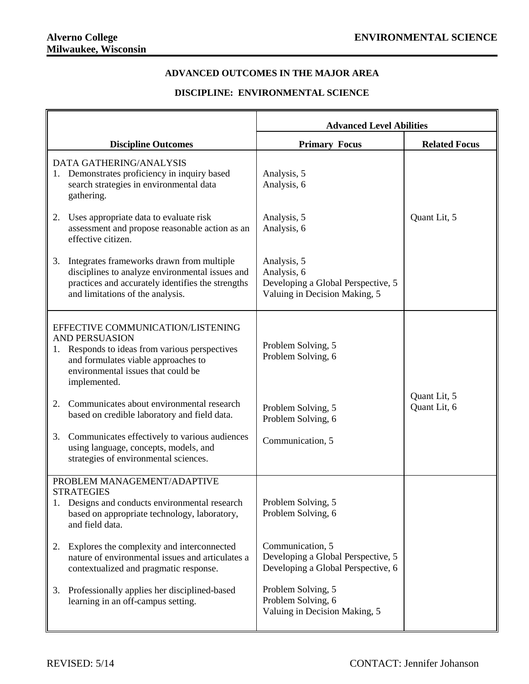## **ADVANCED OUTCOMES IN THE MAJOR AREA**

## **DISCIPLINE: ENVIRONMENTAL SCIENCE**

|    |                                                                                                                                                                                                           | <b>Advanced Level Abilities</b>                                                                   |                              |
|----|-----------------------------------------------------------------------------------------------------------------------------------------------------------------------------------------------------------|---------------------------------------------------------------------------------------------------|------------------------------|
|    | <b>Discipline Outcomes</b>                                                                                                                                                                                | <b>Primary Focus</b>                                                                              | <b>Related Focus</b>         |
|    | DATA GATHERING/ANALYSIS<br>1. Demonstrates proficiency in inquiry based<br>search strategies in environmental data<br>gathering.                                                                          | Analysis, 5<br>Analysis, 6                                                                        |                              |
| 2. | Uses appropriate data to evaluate risk<br>assessment and propose reasonable action as an<br>effective citizen.                                                                                            | Analysis, 5<br>Analysis, 6                                                                        | Quant Lit, 5                 |
| 3. | Integrates frameworks drawn from multiple<br>disciplines to analyze environmental issues and<br>practices and accurately identifies the strengths<br>and limitations of the analysis.                     | Analysis, 5<br>Analysis, 6<br>Developing a Global Perspective, 5<br>Valuing in Decision Making, 5 |                              |
|    | EFFECTIVE COMMUNICATION/LISTENING<br><b>AND PERSUASION</b><br>1. Responds to ideas from various perspectives<br>and formulates viable approaches to<br>environmental issues that could be<br>implemented. | Problem Solving, 5<br>Problem Solving, 6                                                          |                              |
| 2. | Communicates about environmental research<br>based on credible laboratory and field data.                                                                                                                 | Problem Solving, 5<br>Problem Solving, 6                                                          | Quant Lit, 5<br>Quant Lit, 6 |
| 3. | Communicates effectively to various audiences<br>using language, concepts, models, and<br>strategies of environmental sciences.                                                                           | Communication, 5                                                                                  |                              |
|    | PROBLEM MANAGEMENT/ADAPTIVE                                                                                                                                                                               |                                                                                                   |                              |
|    | <b>STRATEGIES</b><br>Designs and conducts environmental research<br>based on appropriate technology, laboratory,<br>and field data.                                                                       | Problem Solving, 5<br>Problem Solving, 6                                                          |                              |
| 2. | Explores the complexity and interconnected<br>nature of environmental issues and articulates a<br>contextualized and pragmatic response.                                                                  | Communication, 5<br>Developing a Global Perspective, 5<br>Developing a Global Perspective, 6      |                              |
| 3. | Professionally applies her disciplined-based<br>learning in an off-campus setting.                                                                                                                        | Problem Solving, 5<br>Problem Solving, 6<br>Valuing in Decision Making, 5                         |                              |